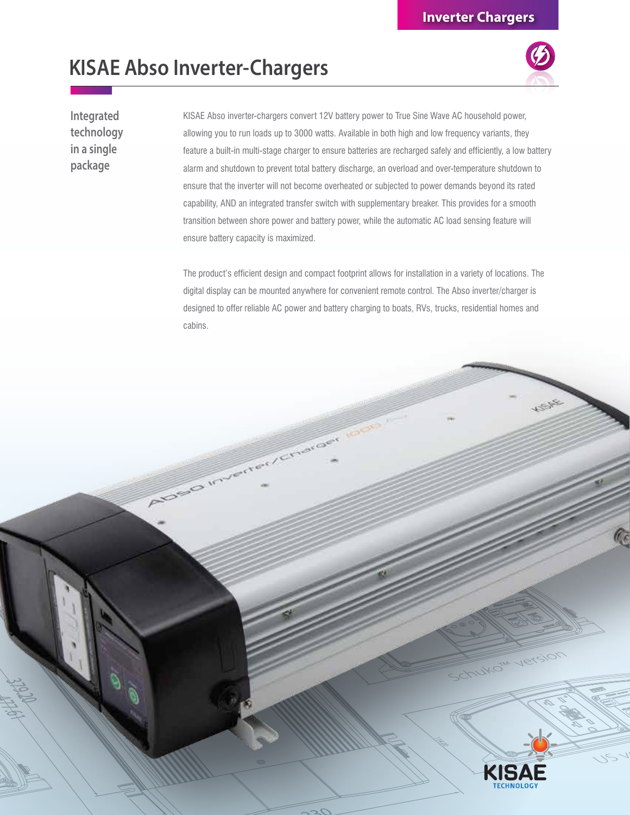## **KISAE Abso Inverter-Chargers**

Algebo Inn

**Integrated technology in a single package**

KISAE Abso inverter-chargers convert 12V battery power to True Sine Wave AC household power, allowing you to run loads up to 3000 watts. Available in both high and low frequency variants, they feature a built-in multi-stage charger to ensure batteries are recharged safely and efficiently, a low battery alarm and shutdown to prevent total battery discharge, an overload and over-temperature shutdown to ensure that the inverter will not become overheated or subjected to power demands beyond its rated capability, AND an integrated transfer switch with supplementary breaker. This provides for a smooth transition between shore power and battery power, while the automatic AC load sensing feature will ensure battery capacity is maximized.

The product's efficient design and compact footprint allows for installation in a variety of locations. The digital display can be mounted anywhere for convenient remote control. The Abso inverter/charger is designed to offer reliable AC power and battery charging to boats, RVs, trucks, residential homes and cabins.

Charger



-Inukow

Version

 $\mathscr{C}$